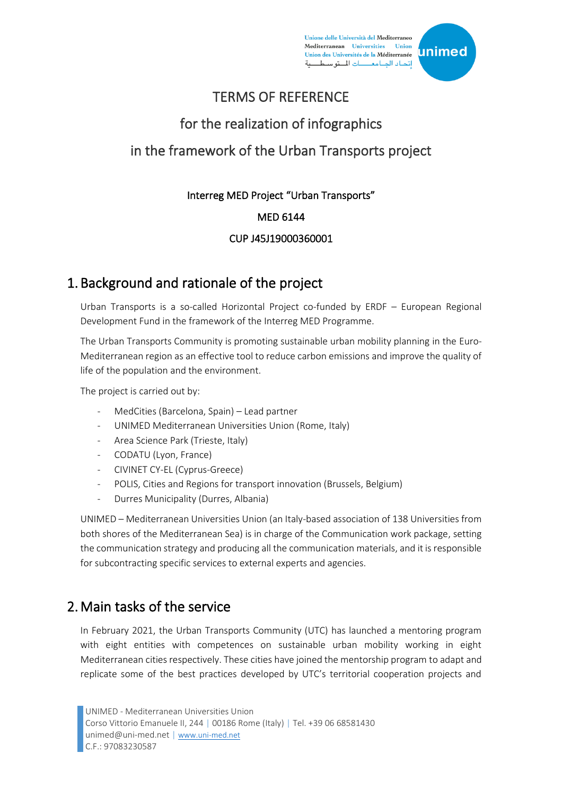Unione delle Università del Mediterraneo Mediterranean Universities Union Union des Universités de la Méditerranée إتحاد الجامعـــات المتوسط



#### TERMS OF REFERENCE

# for the realization of infographics in the framework of the Urban Transports project

# Interreg MED Project "Urban Transports"

#### MED 6144

#### CUP J45J19000360001

# 1. Background and rationale of the project

Urban Transports is a so-called Horizontal Project co-funded by ERDF – European Regional Development Fund in the framework of the Interreg MED Programme.

The Urban Transports Community is promoting sustainable urban mobility planning in the Euro-Mediterranean region as an effective tool to reduce carbon emissions and improve the quality of life of the population and the environment.

The project is carried out by:

- MedCities (Barcelona, Spain) Lead partner
- UNIMED Mediterranean Universities Union (Rome, Italy)
- Area Science Park (Trieste, Italy)
- CODATU (Lyon, France)
- CIVINET CY-EL (Cyprus-Greece)
- POLIS, Cities and Regions for transport innovation (Brussels, Belgium)
- Durres Municipality (Durres, Albania)

UNIMED – Mediterranean Universities Union (an Italy-based association of 138 Universities from both shores of the Mediterranean Sea) is in charge of the Communication work package, setting the communication strategy and producing all the communication materials, and it is responsible for subcontracting specific services to external experts and agencies.

## 2.Main tasks of the service

In February 2021, the Urban Transports Community (UTC) has launched a mentoring program with eight entities with competences on sustainable urban mobility working in eight Mediterranean cities respectively. These cities have joined the mentorship program to adapt and replicate some of the best practices developed by UTC's territorial cooperation projects and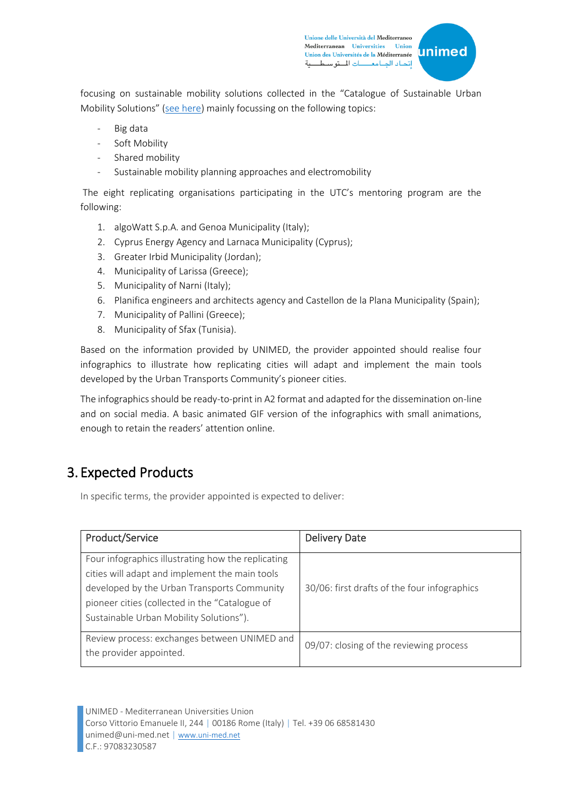Unione delle Università del Mediterraneo Mediterranean Universities Union Union des Universités de la Méditerranée إتحاد الجامعـــات المتوسط



focusing on sustainable mobility solutions collected in the "Catalogue of Sustainable Urban Mobility Solutions" ([see here\)](https://urban-transports.interreg-med.eu/index.php?id=13253) mainly focussing on the following topics:

- Big data
- Soft Mobility
- Shared mobility
- Sustainable mobility planning approaches and electromobility

The eight replicating organisations participating in the UTC's mentoring program are the following:

- 1. algoWatt S.p.A. and Genoa Municipality (Italy);
- 2. Cyprus Energy Agency and Larnaca Municipality (Cyprus);
- 3. Greater Irbid Municipality (Jordan);
- 4. Municipality of Larissa (Greece);
- 5. Municipality of Narni (Italy);
- 6. Planifica engineers and architects agency and Castellon de la Plana Municipality (Spain);
- 7. Municipality of Pallini (Greece);
- 8. Municipality of Sfax (Tunisia).

Based on the information provided by UNIMED, the provider appointed should realise four infographics to illustrate how replicating cities will adapt and implement the main tools developed by the Urban Transports Community's pioneer cities.

The infographics should be ready-to-print in A2 format and adapted for the dissemination on-line and on social media. A basic animated GIF version of the infographics with small animations, enough to retain the readers' attention online.

# 3. Expected Products

In specific terms, the provider appointed is expected to deliver:

| Product/Service                                                                                                                                                                                                                                  | <b>Delivery Date</b>                         |
|--------------------------------------------------------------------------------------------------------------------------------------------------------------------------------------------------------------------------------------------------|----------------------------------------------|
| Four infographics illustrating how the replicating<br>cities will adapt and implement the main tools<br>developed by the Urban Transports Community<br>pioneer cities (collected in the "Catalogue of<br>Sustainable Urban Mobility Solutions"). | 30/06: first drafts of the four infographics |
| Review process: exchanges between UNIMED and<br>the provider appointed.                                                                                                                                                                          | 09/07: closing of the reviewing process      |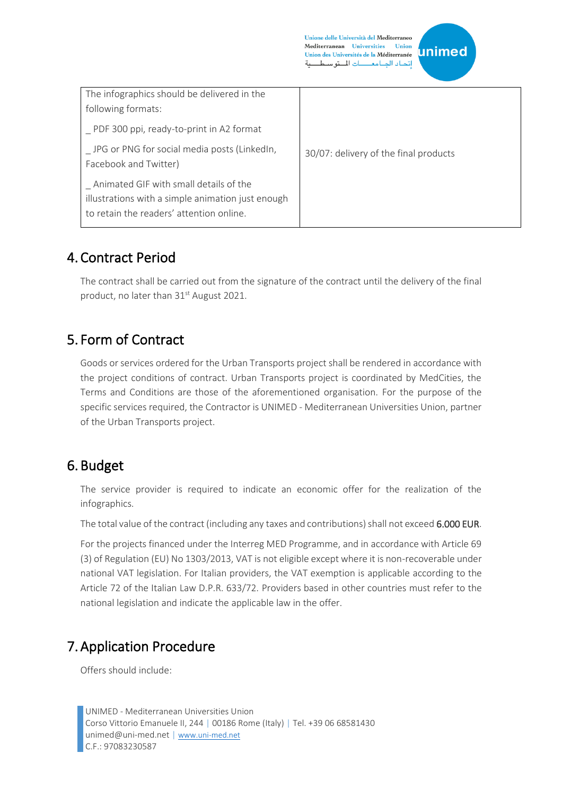Unione delle Università del Mediterraneo Mediterranean Universities Union Union des Universités de la Méditerranée إتحاد الجامعـــات المتوسط



| The infographics should be delivered in the<br>following formats:<br>PDF 300 ppi, ready-to-print in A2 format                           |                                       |
|-----------------------------------------------------------------------------------------------------------------------------------------|---------------------------------------|
| _ JPG or PNG for social media posts (LinkedIn,<br>Facebook and Twitter)                                                                 | 30/07: delivery of the final products |
| Animated GIF with small details of the<br>illustrations with a simple animation just enough<br>to retain the readers' attention online. |                                       |

# 4. Contract Period

The contract shall be carried out from the signature of the contract until the delivery of the final product, no later than 31<sup>st</sup> August 2021.

# 5. Form of Contract

Goods or services ordered for the Urban Transports project shall be rendered in accordance with the project conditions of contract. Urban Transports project is coordinated by MedCities, the Terms and Conditions are those of the aforementioned organisation. For the purpose of the specific services required, the Contractor is UNIMED - Mediterranean Universities Union, partner of the Urban Transports project.

# 6. Budget

The service provider is required to indicate an economic offer for the realization of the infographics.

The total value of the contract (including any taxes and contributions) shall not exceed 6.000 EUR.

For the projects financed under the Interreg MED Programme, and in accordance with Article 69 (3) of Regulation (EU) No 1303/2013, VAT is not eligible except where it is non-recoverable under national VAT legislation. For Italian providers, the VAT exemption is applicable according to the Article 72 of the Italian Law D.P.R. 633/72. Providers based in other countries must refer to the national legislation and indicate the applicable law in the offer.

# 7.Application Procedure

Offers should include: